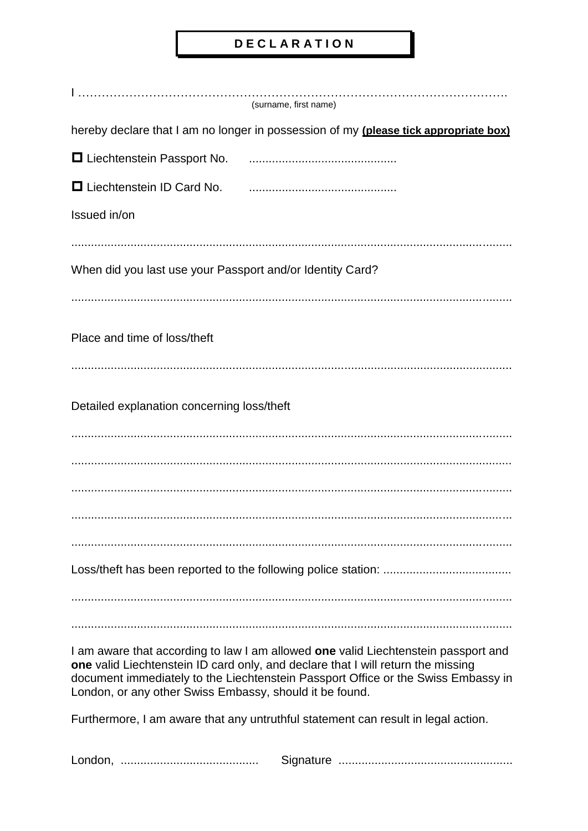## **DECLARATION**

|                                                           | (surname, first name)                                                                                                                                                                                                                                       |
|-----------------------------------------------------------|-------------------------------------------------------------------------------------------------------------------------------------------------------------------------------------------------------------------------------------------------------------|
|                                                           | hereby declare that I am no longer in possession of my (please tick appropriate box)                                                                                                                                                                        |
| □ Liechtenstein Passport No.                              |                                                                                                                                                                                                                                                             |
| $\Box$ Liechtenstein ID Card No.                          |                                                                                                                                                                                                                                                             |
| Issued in/on                                              |                                                                                                                                                                                                                                                             |
|                                                           |                                                                                                                                                                                                                                                             |
| When did you last use your Passport and/or Identity Card? |                                                                                                                                                                                                                                                             |
|                                                           |                                                                                                                                                                                                                                                             |
| Place and time of loss/theft                              |                                                                                                                                                                                                                                                             |
|                                                           |                                                                                                                                                                                                                                                             |
|                                                           |                                                                                                                                                                                                                                                             |
| Detailed explanation concerning loss/theft                |                                                                                                                                                                                                                                                             |
|                                                           |                                                                                                                                                                                                                                                             |
|                                                           |                                                                                                                                                                                                                                                             |
|                                                           |                                                                                                                                                                                                                                                             |
|                                                           |                                                                                                                                                                                                                                                             |
|                                                           |                                                                                                                                                                                                                                                             |
|                                                           |                                                                                                                                                                                                                                                             |
|                                                           |                                                                                                                                                                                                                                                             |
| London, or any other Swiss Embassy, should it be found.   | I am aware that according to law I am allowed one valid Liechtenstein passport and<br>one valid Liechtenstein ID card only, and declare that I will return the missing<br>document immediately to the Liechtenstein Passport Office or the Swiss Embassy in |
|                                                           | Furthermore, I am aware that any untruthful statement can result in legal action.                                                                                                                                                                           |